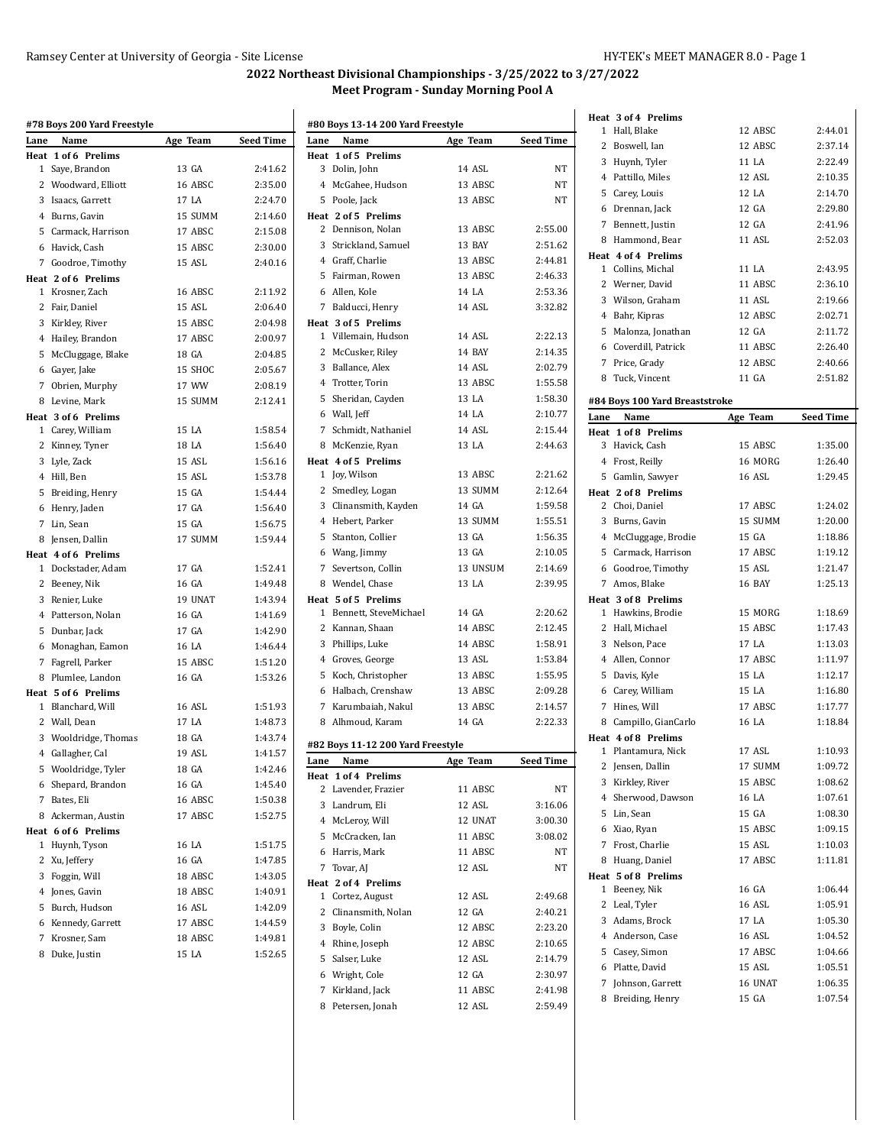|      | #78 Boys 200 Yard Freestyle |          |           |
|------|-----------------------------|----------|-----------|
| Lane | Name                        | Age Team | Seed Time |
|      | Heat 1 of 6 Prelims         |          |           |
|      | 1 Saye, Brandon             | 13 GA    | 2:41.62   |
|      | 2 Woodward, Elliott         | 16 ABSC  | 2:35.00   |
|      | 3 Isaacs, Garrett           | 17 LA    | 2:24.70   |
|      | 4 Burns, Gavin              | 15 SUMM  | 2:14.60   |
|      | 5 Carmack, Harrison         | 17 ABSC  | 2:15.08   |
|      | 6 Havick, Cash              | 15 ABSC  | 2:30.00   |
|      | 7 Goodroe, Timothy          | 15 ASL   | 2:40.16   |
|      | Heat 2 of 6 Prelims         |          |           |
|      | 1 Krosner, Zach             | 16 ABSC  | 2:11.92   |
|      | 2 Fair, Daniel              | 15 ASL   | 2:06.40   |
|      | 3 Kirkley, River            | 15 ABSC  | 2:04.98   |
|      | 4 Hailey, Brandon           | 17 ABSC  | 2:00.97   |
|      | 5 McCluggage, Blake         | 18 GA    | 2:04.85   |
|      | 6 Gayer, Jake               | 15 SHOC  | 2:05.67   |
|      | 7 Obrien, Murphy            | 17 WW    | 2:08.19   |
|      | 8 Levine, Mark              | 15 SUMM  | 2:12.41   |
|      | Heat 3 of 6 Prelims         |          |           |
|      | 1 Carey, William            | 15 LA    | 1:58.54   |
|      | 2 Kinney, Tyner             | 18 LA    | 1:56.40   |
|      | 3 Lyle, Zack                | 15 ASL   | 1:56.16   |
|      | 4 Hill, Ben                 | 15 ASL   | 1:53.78   |
|      | 5 Breiding, Henry           | 15 GA    | 1:54.44   |
|      | 6 Henry, Jaden              | 17 GA    | 1:56.40   |
|      | 7 Lin, Sean                 | 15 GA    | 1:56.75   |
|      | 8 Jensen, Dallin            | 17 SUMM  | 1:59.44   |
|      | Heat 4 of 6 Prelims         |          |           |
|      | 1 Dockstader, Adam          | 17 GA    | 1:52.41   |
|      | 2 Beeney, Nik               | 16 GA    | 1:49.48   |
|      | 3 Renier, Luke              | 19 UNAT  | 1:43.94   |
|      | 4 Patterson, Nolan          | 16 GA    | 1:41.69   |
|      | 5 Dunbar, Jack              | 17 GA    | 1:42.90   |
|      | 6 Monaghan, Eamon           | 16 LA    | 1:46.44   |
|      | 7 Fagrell, Parker           | 15 ABSC  | 1:51.20   |
|      | 8 Plumlee, Landon           | 16 GA    | 1:53.26   |
|      | Heat 5 of 6 Prelims         |          |           |
|      | 1 Blanchard, Will           | 16 ASL   | 1:51.93   |
|      | 2 Wall, Dean                | 17 LA    | 1:48.73   |
|      | 3 Wooldridge, Thomas        | 18 GA    | 1:43.74   |
|      | 4 Gallagher, Cal            | 19 ASL   | 1:41.57   |
|      | 5 Wooldridge, Tyler         | 18 GA    | 1:42.46   |
|      | 6 Shepard, Brandon          | 16 GA    | 1:45.40   |
| 7    | Bates, Eli                  | 16 ABSC  | 1:50.38   |
|      | 8 Ackerman, Austin          | 17 ABSC  | 1:52.75   |
|      | Heat 6 of 6 Prelims         |          |           |
| 1    | Huynh, Tyson                | 16 LA    | 1:51.75   |
| 2    | Xu, Jeffery                 | 16 GA    | 1:47.85   |
|      | 3 Foggin, Will              | 18 ABSC  | 1:43.05   |
|      | 4 Jones, Gavin              | 18 ABSC  | 1:40.91   |
|      | 5 Burch, Hudson             | 16 ASL   | 1:42.09   |
|      | 6 Kennedy, Garrett          | 17 ABSC  | 1:44.59   |
| 7    | Krosner, Sam                | 18 ABSC  | 1:49.81   |
| 8    | Duke, Justin                | 15 LA    | 1:52.65   |

| #80 Boys 13-14 200 Yard Freestyle |                                   |          |                  |
|-----------------------------------|-----------------------------------|----------|------------------|
| Lane                              | Name                              | Age Team | <b>Seed Time</b> |
|                                   | Heat 1 of 5 Prelims               |          |                  |
| 3                                 | Dolin, John                       | 14 ASL   | NΤ               |
| $4^{\circ}$                       | McGahee, Hudson                   | 13 ABSC  | NΤ               |
|                                   | 5 Poole, Jack                     | 13 ABSC  | NT               |
|                                   | Heat 2 of 5 Prelims               |          |                  |
|                                   | 2 Dennison, Nolan                 | 13 ABSC  | 2:55.00          |
| 3                                 | Strickland, Samuel                | 13 BAY   | 2:51.62          |
|                                   | 4 Graff, Charlie                  | 13 ABSC  | 2:44.81          |
|                                   | 5 Fairman, Rowen                  | 13 ABSC  | 2:46.33          |
|                                   | 6 Allen. Kole                     | 14 LA    | 2:53.36          |
|                                   | 7 Balducci, Henry                 | 14 ASL   | 3:32.82          |
|                                   | Heat 3 of 5 Prelims               |          |                  |
|                                   | 1 Villemain, Hudson               | 14 ASL   | 2:22.13          |
| 2                                 | McCusker, Riley                   | 14 BAY   | 2:14.35          |
|                                   |                                   | 14 ASL   | 2:02.79          |
| 3                                 | Ballance, Alex                    |          |                  |
|                                   | 4 Trotter, Torin                  | 13 ABSC  | 1:55.58          |
| 5                                 | Sheridan, Cayden                  | 13 LA    | 1:58.30          |
|                                   | 6 Wall, Jeff                      | 14 I.A   | 2:10.77          |
| 7                                 | Schmidt, Nathaniel                | 14 ASL   | 2:15.44          |
| 8                                 | McKenzie, Ryan                    | 13 LA    | 2:44.63          |
|                                   | Heat 4 of 5 Prelims               |          |                  |
|                                   | 1 Joy, Wilson                     | 13 ABSC  | 2:21.62          |
| 2                                 | Smedley, Logan                    | 13 SUMM  | 2:12.64          |
|                                   | 3 Clinansmith, Kayden             | 14 GA    | 1:59.58          |
|                                   | 4 Hebert, Parker                  | 13 SUMM  | 1:55.51          |
| 5                                 | Stanton, Collier                  | 13 GA    | 1:56.35          |
|                                   | 6 Wang, Jimmy                     | 13 GA    | 2:10.05          |
| 7                                 | Severtson, Collin                 | 13 UNSUM | 2:14.69          |
|                                   | 8 Wendel, Chase                   | 13 LA    | 2:39.95          |
|                                   | Heat 5 of 5 Prelims               |          |                  |
| 1                                 | Bennett, SteveMichael             | 14 GA    | 2:20.62          |
| $\mathbf{2}$                      | Kannan, Shaan                     | 14 ABSC  | 2:12.45          |
|                                   | 3 Phillips, Luke                  | 14 ABSC  | 1:58.91          |
|                                   | 4 Groves, George                  | 13 ASL   | 1:53.84          |
| 5                                 | Koch, Christopher                 | 13 ABSC  | 1:55.95          |
| 6                                 | Halbach. Crenshaw                 | 13 ABSC  | 2:09.28          |
| $\overline{7}$                    | Karumbaiah. Nakul                 | 13 ABSC  | 2:14.57          |
|                                   |                                   |          |                  |
|                                   | 8 Alhmoud, Karam                  | 14 GA    | 2:22.33          |
|                                   | #82 Boys 11-12 200 Yard Freestyle |          |                  |
| Lane                              | Name                              | Age Team | Seed Time        |
|                                   | Heat 1 of 4 Prelims               |          |                  |
|                                   | 2 Lavender, Frazier               | 11 ABSC  | NΤ               |
|                                   | 3 Landrum, Eli                    | 12 ASL   | 3:16.06          |
|                                   | 4 McLeroy, Will                   | 12 UNAT  | 3:00.30          |
|                                   | 5 McCracken, Ian                  | 11 ABSC  | 3:08.02          |
|                                   | 6 Harris, Mark                    | 11 ABSC  | NT               |
|                                   | 7 Tovar, AJ                       | 12 ASL   | NΤ               |
|                                   | Heat 2 of 4 Prelims               |          |                  |
|                                   | 1 Cortez, August                  | 12 ASL   | 2:49.68          |
|                                   | 2 Clinansmith, Nolan              | 12 GA    | 2:40.21          |
|                                   | 3 Boyle, Colin                    | 12 ABSC  | 2:23.20          |
|                                   | 4 Rhine, Joseph                   | 12 ABSC  | 2:10.65          |
| 5                                 | Salser, Luke                      | 12 ASL   | 2:14.79          |
|                                   | 6 Wright, Cole                    | 12 GA    | 2:30.97          |
|                                   | 7 Kirkland, Jack                  | 11 ABSC  | 2:41.98          |
|                                   | 8 Petersen, Jonah                 | 12 ASL   | 2:59.49          |
|                                   |                                   |          |                  |

|              | Heat 3 of 4 Prelims                          |                  |                    |
|--------------|----------------------------------------------|------------------|--------------------|
| $\mathbf{1}$ | Hall, Blake                                  | 12 ABSC          | 2:44.01            |
|              | 2 Boswell, Ian                               | 12 ABSC          | 2:37.14            |
|              | 3 Huynh, Tyler                               | 11 LA            | 2:22.49            |
|              | 4 Pattillo, Miles                            | 12 ASL           | 2:10.35            |
|              | 5 Carey, Louis                               | 12 LA            | 2:14.70            |
|              | 6 Drennan, Jack                              | 12 GA            | 2:29.80            |
| 7            | Bennett, Justin                              | 12 GA            | 2:41.96            |
|              | 8 Hammond, Bear                              | 11 ASL           | 2:52.03            |
|              | Heat 4 of 4 Prelims                          |                  |                    |
|              | 1 Collins, Michal                            | 11 LA            | 2:43.95            |
|              | 2 Werner, David                              | 11 ABSC          | 2:36.10            |
|              | 3 Wilson, Graham                             | 11 ASL           | 2:19.66            |
|              | 4 Bahr, Kipras                               | 12 ABSC          | 2:02.71            |
|              | 5 Malonza, Jonathan                          | 12 GA            | 2:11.72            |
|              | 6 Coverdill, Patrick                         | 11 ABSC          | 2:26.40            |
|              | 7 Price, Grady                               | 12 ABSC          | 2:40.66            |
|              | 8 Tuck, Vincent                              | 11 GA            | 2:51.82            |
|              |                                              |                  |                    |
| Lane         | #84 Boys 100 Yard Breaststroke               |                  |                    |
|              | Name<br>Heat 1 of 8 Prelims                  | Age Team         | <b>Seed Time</b>   |
|              | 3 Havick, Cash                               | 15 ABSC          | 1:35.00            |
|              | 4 Frost, Reilly                              | 16 MORG          | 1:26.40            |
|              | 5 Gamlin, Sawyer                             | 16 ASL           | 1:29.45            |
|              | Heat 2 of 8 Prelims                          |                  |                    |
|              | 2 Choi, Daniel                               | 17 ABSC          | 1:24.02            |
|              | 3 Burns, Gavin                               | 15 SUMM          | 1:20.00            |
|              | 4 McCluggage, Brodie                         | 15 GA            | 1:18.86            |
|              | 5 Carmack, Harrison                          | 17 ABSC          | 1:19.12            |
|              | 6 Goodroe, Timothy                           | 15 ASL           | 1:21.47            |
|              | 7 Amos, Blake                                | 16 BAY           | 1:25.13            |
|              | Heat 3 of 8 Prelims                          |                  |                    |
|              | 1 Hawkins, Brodie                            | 15 MORG          | 1:18.69            |
|              | 2 Hall, Michael                              | 15 ABSC          | 1:17.43            |
|              |                                              |                  | 1:13.03            |
|              |                                              | 17 LA            |                    |
|              | 3 Nelson, Pace                               |                  |                    |
|              | 4 Allen, Connor                              | 17 ABSC          | 1:11.97            |
|              | 5 Davis, Kyle                                | 15 LA            | 1:12.17            |
|              | 6 Carey, William                             | 15 LA            | 1:16.80            |
|              | 7 Hines, Will                                | 17 ABSC<br>16 LA | 1:17.77<br>1:18.84 |
|              | 8 Campillo, GianCarlo<br>Heat 4 of 8 Prelims |                  |                    |
| 1            | Plantamura, Nick                             | 17 ASL           | 1:10.93            |
|              | 2 Jensen, Dallin                             | 17 SUMM          | 1:09.72            |
|              | 3 Kirkley, River                             | 15 ABSC          | 1:08.62            |
|              | 4 Sherwood, Dawson                           | 16 LA            | 1:07.61            |
|              | 5 Lin, Sean                                  | 15 GA            | 1:08.30            |
|              | 6 Xiao, Ryan                                 | 15 ABSC          | 1:09.15            |
|              | 7 Frost, Charlie                             | 15 ASL           | 1:10.03            |
|              | 8 Huang, Daniel                              | 17 ABSC          | 1:11.81            |
|              | Heat 5 of 8 Prelims                          |                  |                    |
| $\mathbf{1}$ | Beeney, Nik                                  | 16 GA            | 1:06.44            |
|              | 2 Leal, Tyler                                | 16 ASL           | 1:05.91            |
|              | 3 Adams, Brock                               | 17 LA            | 1:05.30            |
|              | 4 Anderson, Case                             | 16 ASL           | 1:04.52            |
|              | 5 Casey, Simon                               | 17 ABSC          | 1:04.66            |
|              | 6 Platte, David                              | 15 ASL           | 1:05.51            |
| 7            | Johnson, Garrett                             | 16 UNAT          | 1:06.35            |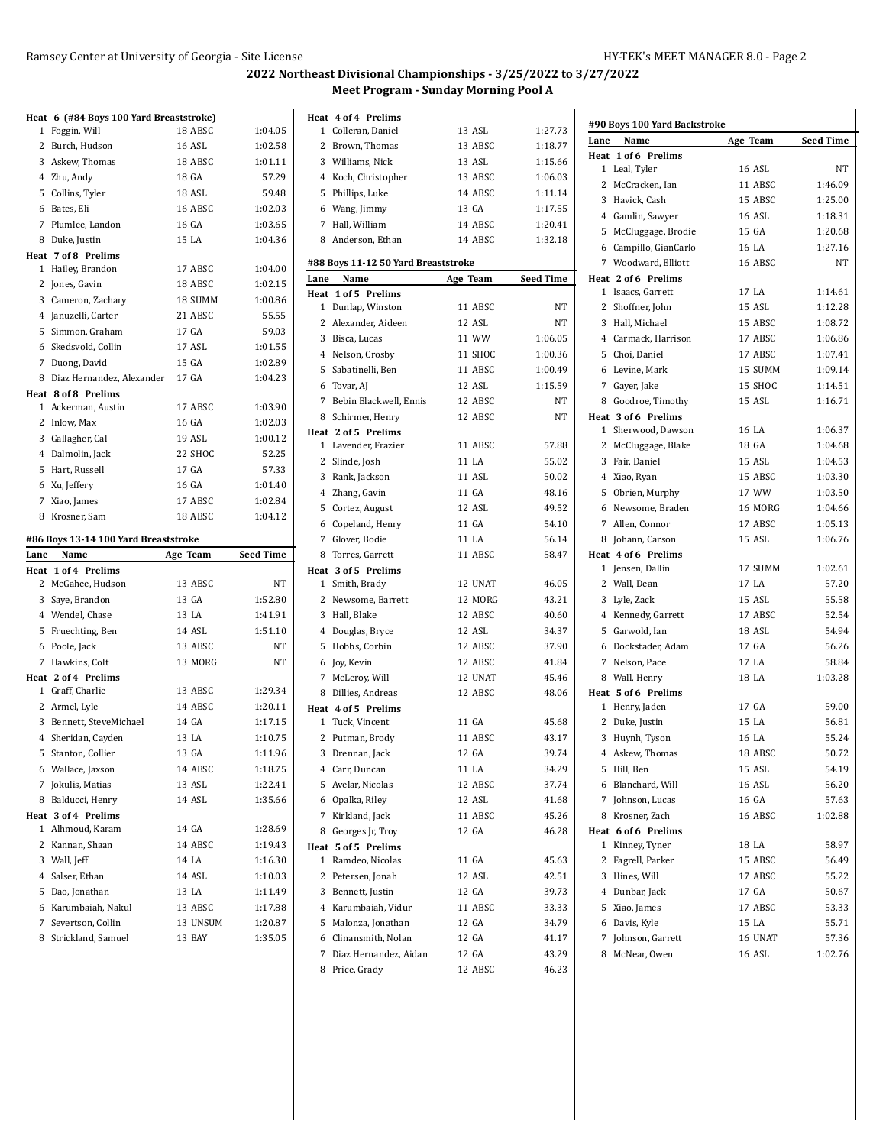|              | Heat 6 (#84 Boys 100 Yard Breaststroke)         |                    |                    |
|--------------|-------------------------------------------------|--------------------|--------------------|
| 1            | Foggin, Will                                    | 18 ABSC            | 1:04.05            |
|              | 2 Burch, Hudson                                 | 16 ASL             | 1:02.58            |
|              | 3 Askew, Thomas                                 | 18 ABSC            | 1:01.11            |
|              | 4 Zhu, Andy                                     | 18 GA              | 57.29              |
|              | 5 Collins, Tyler                                | 18 ASL             | 59.48              |
|              | 6 Bates, Eli                                    | 16 ABSC            | 1:02.03            |
|              | 7 Plumlee, Landon                               | 16 GA              | 1:03.65            |
|              | 8 Duke, Justin                                  | 15 LA              | 1:04.36            |
|              | Heat 7 of 8 Prelims                             |                    |                    |
| 1            | Hailey, Brandon                                 | 17 ABSC            | 1:04.00            |
|              | 2 Jones, Gavin                                  | 18 ABSC            | 1:02.15            |
|              | 3 Cameron, Zachary                              | 18 SUMM            | 1:00.86            |
|              | 4 Januzelli, Carter                             | 21 ABSC            | 55.55              |
| 5            | Simmon, Graham                                  | 17 GA              | 59.03              |
|              | 6 Skedsvold, Collin                             | 17 ASL             | 1:01.55            |
|              | 7 Duong, David                                  | 15 GA              | 1:02.89            |
|              | 8 Diaz Hernandez, Alexander                     | 17 GA              | 1:04.23            |
|              | Heat 8 of 8 Prelims                             |                    |                    |
| $\mathbf{1}$ | Ackerman, Austin                                | 17 ABSC            | 1:03.90            |
| $\mathbf{2}$ | Inlow, Max                                      | 16 GA              | 1:02.03            |
|              | 3 Gallagher, Cal                                | 19 ASL             | 1:00.12            |
|              | 4 Dalmolin, Jack                                | 22 SHOC            | 52.25              |
|              | 5 Hart, Russell                                 | 17 GA              | 57.33              |
|              | 6 Xu, Jeffery                                   | 16 GA              | 1:01.40            |
| 7            | Xiao, James                                     | 17 ABSC            | 1:02.84            |
| 8            | Krosner, Sam                                    | 18 ABSC            | 1:04.12            |
|              | #86 Boys 13-14 100 Yard Breaststroke            |                    |                    |
| Lane         | Name                                            | Age Team           |                    |
|              |                                                 |                    |                    |
|              |                                                 |                    | <b>Seed Time</b>   |
|              | <b>Heat 1 of 4 Prelims</b><br>2 McGahee, Hudson | 13 ABSC            | NT                 |
| 3            |                                                 | 13 GA              | 1:52.80            |
|              | Saye, Brandon                                   |                    |                    |
|              | 4 Wendel, Chase                                 | 13 LA              | 1:41.91            |
| 5            | Fruechting, Ben                                 | 14 ASL             | 1:51.10            |
|              | 6 Poole, Jack                                   | 13 ABSC            | NΤ                 |
|              | 7 Hawkins, Colt                                 | 13 MORG            | NT                 |
|              | Heat 2 of 4 Prelims<br>1 Graff, Charlie         | 13 ABSC            | 1:29.34            |
|              |                                                 | 14 ABSC            | 1:20.11            |
|              | 2 Armel, Lyle                                   | 14 GA              | 1:17.15            |
| $4^{\circ}$  | 3 Bennett, SteveMichael                         | 13 LA              | 1:10.75            |
|              | Sheridan, Cayden                                |                    |                    |
|              | 5 Stanton, Collier                              | 13 GA              | 1:11.96            |
|              | 6 Wallace, Jaxson                               | 14 ABSC            | 1:18.75            |
|              | 7 Jokulis, Matias                               | 13 ASL             | 1:22.41            |
| 8            | Balducci, Henry                                 | 14 ASL             | 1:35.66            |
|              | Heat 3 of 4 Prelims<br>1 Alhmoud, Karam         | 14 GA              | 1:28.69            |
|              | 2 Kannan, Shaan                                 |                    | 1:19.43            |
|              |                                                 | 14 ABSC<br>14 LA   |                    |
|              | 3 Wall, Jeff                                    |                    | 1:16.30            |
|              | 4 Salser, Ethan                                 | 14 ASL             | 1:10.03            |
|              | 5 Dao, Jonathan                                 | 13 LA              | 1:11.49            |
|              | 6 Karumbaiah, Nakul                             | 13 ABSC            | 1:17.88            |
| 7<br>8       | Severtson, Collin<br>Strickland, Samuel         | 13 UNSUM<br>13 BAY | 1:20.87<br>1:35.05 |

|      | Heat 4 of 4 Prelims                 |          |                  |                                  |
|------|-------------------------------------|----------|------------------|----------------------------------|
|      | 1 Colleran, Daniel                  | 13 ASL   | 1:27.73          | #90 Boys 100 Ya                  |
|      | 2 Brown, Thomas                     | 13 ABSC  | 1:18.77          | Lane<br>Name                     |
|      | 3 Williams, Nick                    | 13 ASL   | 1:15.66          | Heat 1 of 6 Pre<br>1 Leal, Tyler |
|      | 4 Koch, Christopher                 | 13 ABSC  | 1:06.03          | 2 McCracken,                     |
|      | 5 Phillips, Luke                    | 14 ABSC  | 1:11.14          | 3 Havick, Casl                   |
|      | 6 Wang, Jimmy                       | 13 GA    | 1:17.55          | 4 Gamlin, Saw                    |
|      | 7 Hall, William                     | 14 ABSC  | 1:20.41          | 5 McCluggage                     |
|      | 8 Anderson, Ethan                   | 14 ABSC  | 1:32.18          | 6 Campillo, Gi                   |
|      | #88 Boys 11-12 50 Yard Breaststroke |          |                  | 7 Woodward,                      |
| Lane | Name                                | Age Team | <b>Seed Time</b> | Heat 2 of 6 Pre                  |
|      | <b>Heat 1 of 5 Prelims</b>          |          |                  | 1 Isaacs, Garr                   |
|      | 1 Dunlap, Winston                   | 11 ABSC  | NΤ               | 2 Shoffner, Jol                  |
|      | 2 Alexander, Aideen                 | 12 ASL   | NT               | 3 Hall, Michae                   |
|      | 3 Bisca, Lucas                      | 11 WW    | 1:06.05          | 4 Carmack, Ha                    |
|      | 4 Nelson, Crosby                    | 11 SHOC  | 1:00.36          | 5 Choi, Daniel                   |
|      | 5 Sabatinelli, Ben                  | 11 ABSC  | 1:00.49          | 6 Levine, Mar                    |
|      | 6 Tovar, AJ                         | 12 ASL   | 1:15.59          | 7 Gayer, Jake                    |
|      | 7 Bebin Blackwell, Ennis            | 12 ABSC  | NT               | 8 Goodroe, Ti                    |
|      | 8 Schirmer, Henry                   | 12 ABSC  | NT               | Heat 3 of 6 Pre                  |
|      | Heat 2 of 5 Prelims                 |          |                  | 1 Sherwood, l                    |
|      | 1 Lavender, Frazier                 | 11 ABSC  | 57.88            | 2 McCluggage                     |
|      | 2 Slinde, Josh                      | 11 LA    | 55.02            | 3 Fair, Daniel                   |
|      | 3 Rank, Jackson                     | 11 ASL   | 50.02            | 4 Xiao, Ryan                     |
|      | 4 Zhang, Gavin                      | 11 GA    | 48.16            | 5 Obrien, Mur                    |
|      | 5 Cortez, August                    | 12 ASL   | 49.52            | 6 Newsome, I                     |
|      | 6 Copeland, Henry                   | 11 GA    | 54.10            | 7 Allen, Conne                   |
|      | 7 Glover, Bodie                     | 11 LA    | 56.14            | 8 Johann, Car.                   |
|      | 8 Torres, Garrett                   | 11 ABSC  | 58.47            | Heat 4 of 6 Pre                  |
|      | Heat 3 of 5 Prelims                 |          |                  | 1 Jensen, Dall                   |
|      | 1 Smith, Brady                      | 12 UNAT  | 46.05            | 2 Wall, Dean                     |
|      | 2 Newsome, Barrett                  | 12 MORG  | 43.21            | 3 Lyle, Zack                     |
|      | 3 Hall, Blake                       | 12 ABSC  | 40.60            | 4 Kennedy, Ga                    |
|      | 4 Douglas, Bryce                    | 12 ASL   | 34.37            | 5 Garwold, Ia                    |
|      | 5 Hobbs, Corbin                     | 12 ABSC  | 37.90            | 6 Dockstader,                    |
|      | 6 Joy, Kevin                        | 12 ABSC  | 41.84            | 7 Nelson, Pac                    |
|      | 7 McLeroy, Will                     | 12 UNAT  | 45.46            | 8 Wall, Henry                    |
|      | 8 Dillies, Andreas                  | 12 ABSC  | 48.06            | Heat 5 of 6 Pre                  |
|      | Heat 4 of 5 Prelims                 |          |                  | 1 Henry, Jadei                   |
|      | 1 Tuck, Vincent                     | 11 GA    | 45.68            | 2 Duke, Justin                   |
|      | 2 Putman, Brody                     | 11 ABSC  | 43.17            | 3 Huynh, Tyso                    |
|      | 3 Drennan, Jack                     | 12 GA    | 39.74            | 4 Askew, Tho:                    |
|      | 4 Carr, Duncan                      | 11 LA    | 34.29            | 5 Hill, Ben                      |
|      | 5 Avelar, Nicolas                   | 12 ABSC  | 37.74            | Blanchard,<br>6                  |
|      | 6 Opalka, Riley                     | 12 ASL   | 41.68            | 7 Johnson, Lu                    |
|      | 7 Kirkland, Jack                    | 11 ABSC  | 45.26            | 8 Krosner, Zao                   |
|      | 8 Georges Jr, Troy                  | 12 GA    | 46.28            | Heat 6 of 6 Pre                  |
|      | Heat 5 of 5 Prelims                 |          |                  | $\mathbf{1}$<br>Kinney, Tyn      |
| 1    | Ramdeo, Nicolas                     | 11 GA    | 45.63            | 2<br>Fagrell, Parl               |
|      | 2 Petersen, Jonah                   | 12 ASL   | 42.51            | 3 Hines, Will                    |
|      | 3 Bennett, Justin                   | 12 GA    | 39.73            | 4 Dunbar, Jacl                   |
|      | 4 Karumbaiah, Vidur                 | 11 ABSC  | 33.33            | 5 Xiao, James                    |
|      | 5 Malonza, Jonathan                 | 12 GA    | 34.79            | 6 Davis, Kyle                    |
|      | 6 Clinansmith, Nolan                | 12 GA    | 41.17            | 7 Johnson, Ga                    |
| 7    | Diaz Hernandez, Aidan               | 12 GA    | 43.29            | McNear, Ow<br>8                  |
|      | 8 Price, Grady                      | 12 ABSC  | 46.23            |                                  |

| #90 Boys 100 Yard Backstroke |                                      |                |                  |  |
|------------------------------|--------------------------------------|----------------|------------------|--|
| Lane                         | Name                                 | Age Team       | <b>Seed Time</b> |  |
| Heat                         | 1 of 6 Prelims                       |                |                  |  |
| 1                            | Leal, Tyler                          | 16 ASL         | NΤ               |  |
| 2                            | McCracken, Ian                       | 11 ABSC        | 1:46.09          |  |
|                              | 3 Havick, Cash                       | 15 ABSC        | 1:25.00          |  |
|                              | 4 Gamlin, Sawyer                     | <b>16 ASL</b>  | 1:18.31          |  |
| 5                            | McCluggage, Brodie                   | 15 GA          | 1:20.68          |  |
|                              | 6 Campillo, GianCarlo                | 16 LA          | 1:27.16          |  |
|                              | 7 Woodward, Elliott                  | 16 ABSC        | NT               |  |
|                              | Heat 2 of 6 Prelims                  |                |                  |  |
|                              | 1 Isaacs, Garrett                    | 17 LA          | 1:14.61          |  |
|                              | 2 Shoffner, John                     | 15 ASL         | 1:12.28          |  |
|                              | 3 Hall, Michael                      | 15 ABSC        | 1:08.72          |  |
|                              | 4 Carmack, Harrison                  | 17 ABSC        | 1:06.86          |  |
|                              | 5 Choi, Daniel                       | 17 ABSC        | 1:07.41          |  |
|                              | 6 Levine, Mark                       | 15 SUMM        | 1:09.14          |  |
|                              | 7 Gayer, Jake                        | 15 SHOC        | 1:14.51          |  |
|                              | 8 Goodroe, Timothy                   | 15 ASL         | 1:16.71          |  |
|                              | Heat 3 of 6 Prelims                  |                |                  |  |
|                              | 1 Sherwood, Dawson                   | 16 LA          | 1:06.37          |  |
|                              | 2 McCluggage, Blake                  | 18 GA          | 1:04.68          |  |
|                              | 3 Fair, Daniel                       | 15 ASL         | 1:04.53          |  |
|                              | 4 Xiao, Ryan                         | 15 ABSC        | 1:03.30          |  |
|                              | 5 Obrien, Murphy                     | 17 WW          | 1:03.50          |  |
|                              | 6 Newsome, Braden                    | 16 MORG        | 1:04.66          |  |
| 7                            | Allen, Connor                        | 17 ABSC        | 1:05.13          |  |
|                              | 8 Johann, Carson                     | 15 ASL         | 1:06.76          |  |
|                              | Heat 4 of 6 Prelims                  |                |                  |  |
| 1                            | Jensen, Dallin                       | 17 SUMM        | 1:02.61          |  |
|                              | 2 Wall, Dean                         | 17 LA          | 57.20            |  |
|                              | 3 Lyle, Zack                         | 15 ASL         | 55.58            |  |
|                              | 4 Kennedy, Garrett                   | 17 ABSC        | 52.54            |  |
| 5                            | Garwold, Ian                         | 18 ASL         | 54.94            |  |
|                              | 6 Dockstader, Adam                   | 17 GA          | 56.26            |  |
|                              | 7 Nelson, Pace                       | 17 LA          | 58.84            |  |
|                              | 8 Wall, Henry                        | 18 LA          | 1:03.28          |  |
|                              | Heat 5 of 6 Prelims                  |                |                  |  |
|                              | 1 Henry, Jaden                       | 17 GA<br>15 LA | 59.00            |  |
|                              | 2 Duke, Justin                       |                | 56.81            |  |
|                              | 3 Huynh, Tyson                       | 16 LA          | 55.24            |  |
| 4                            | Askew, Thomas                        | 18 ABSC        | 50.72            |  |
| 5                            | Hill, Ben                            | 15 ASL         | 54.19            |  |
| 6                            | Blanchard, Will                      | 16 ASL         | 56.20            |  |
| 7                            | Johnson, Lucas                       | 16 GA          | 57.63            |  |
| 8                            | Krosner, Zach                        | 16 ABSC        | 1:02.88          |  |
| 1                            | Heat 6 of 6 Prelims<br>Kinney, Tyner | 18 LA          | 58.97            |  |
| 2                            |                                      | 15 ABSC        |                  |  |
| 3                            | Fagrell, Parker<br>Hines, Will       | 17 ABSC        | 56.49<br>55.22   |  |
|                              | 4 Dunbar, Jack                       | 17 GA          |                  |  |
| 5                            |                                      | 17 ABSC        | 50.67<br>53.33   |  |
|                              | Xiao, James                          | 15 LA          |                  |  |
|                              | 6 Davis, Kyle                        | 16 UNAT        | 55.71            |  |
| 7                            | Johnson, Garrett                     |                | 57.36            |  |
| 8                            | McNear, Owen                         | 16 ASL         | 1:02.76          |  |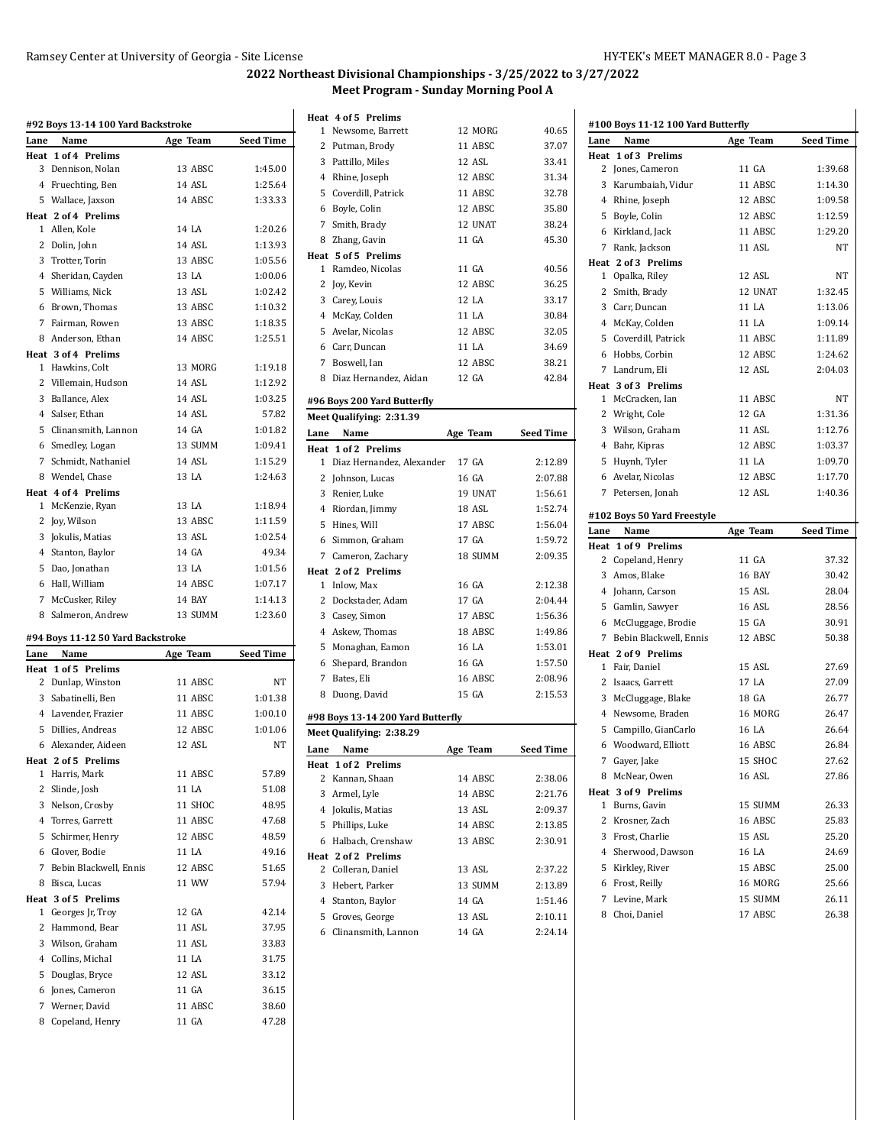|           | #92 Boys 13-14 100 Yard Backstroke      |          |                  |
|-----------|-----------------------------------------|----------|------------------|
| Lane      | Name                                    | Age Team | <b>Seed Time</b> |
| Heat<br>3 | 1 of 4 Prelims<br>Dennison, Nolan       | 13 ABSC  | 1:45.00          |
|           | 4 Fruechting, Ben                       | 14 ASL   | 1:25.64          |
|           | 5 Wallace, Jaxson                       | 14 ABSC  | 1:33.33          |
|           | Heat 2 of 4 Prelims                     |          |                  |
|           | 1 Allen, Kole                           | 14 LA    | 1:20.26          |
|           | 2 Dolin, John                           | 14 ASL   | 1:13.93          |
|           | 3 Trotter, Torin                        | 13 ABSC  | 1:05.56          |
|           | 4 Sheridan, Cayden                      | 13 LA    | 1:00.06          |
|           | 5 Williams, Nick                        | 13 ASL   | 1:02.42          |
|           | 6 Brown, Thomas                         | 13 ABSC  | 1:10.32          |
|           | 7 Fairman, Rowen                        | 13 ABSC  | 1:18.35          |
|           | 8 Anderson, Ethan                       | 14 ABSC  | 1:25.51          |
|           | Heat 3 of 4 Prelims                     |          |                  |
|           | 1 Hawkins, Colt                         | 13 MORG  | 1:19.18          |
|           | 2 Villemain, Hudson                     | 14 ASL   | 1:12.92          |
|           | 3 Ballance, Alex                        | 14 ASL   | 1:03.25          |
|           | 4 Salser, Ethan                         | 14 ASL   | 57.82            |
|           | 5 Clinansmith, Lannon                   | 14 GA    | 1:01.82          |
|           | 6 Smedley, Logan                        | 13 SUMM  | 1:09.41          |
|           | 7 Schmidt, Nathaniel                    | 14 ASL   | 1:15.29          |
|           | 8 Wendel, Chase                         | 13 LA    | 1:24.63          |
|           | Heat 4 of 4 Prelims<br>1 McKenzie, Ryan | 13 LA    | 1:18.94          |
|           | 2 Joy, Wilson                           | 13 ABSC  | 1:11.59          |
|           | 3 Jokulis, Matias                       | 13 ASL   | 1:02.54          |
|           | 4 Stanton, Baylor                       | 14 GA    | 49.34            |
|           | 5 Dao, Jonathan                         | 13 LA    | 1:01.56          |
|           | 6 Hall, William                         | 14 ABSC  | 1:07.17          |
|           | 7 McCusker, Riley                       | 14 BAY   | 1:14.13          |
|           | 8 Salmeron, Andrew                      | 13 SUMM  | 1:23.60          |
|           |                                         |          |                  |
|           | #94 Boys 11-12 50 Yard Backstroke       |          |                  |
| Lane      | Name<br>Heat 1 of 5 Prelims             | Age Team | <b>Seed Time</b> |
|           | 2 Dunlap, Winston                       | 11 ABSC  | NT               |
|           | 3 Sabatinelli, Ben                      | 11 ABSC  | 1:01.38          |
|           | 4 Lavender, Frazier                     | 11 ABSC  | 1:00.10          |
|           | 5 Dillies, Andreas                      | 12 ABSC  | 1:01.06          |
|           | 6 Alexander, Aideen                     | 12 ASL   | <b>NT</b>        |
|           | Heat 2 of 5 Prelims                     |          |                  |
|           | 1 Harris, Mark                          | 11 ABSC  | 57.89            |
|           | 2 Slinde, Josh                          | 11 LA    | 51.08            |
|           | 3 Nelson, Crosby                        | 11 SHOC  | 48.95            |
|           | 4 Torres, Garrett                       | 11 ABSC  | 47.68            |
|           | 5 Schirmer, Henry                       | 12 ABSC  | 48.59            |
|           | 6 Glover, Bodie                         | 11 LA    | 49.16            |
|           | 7 Bebin Blackwell, Ennis                | 12 ABSC  | 51.65            |
|           | 8 Bisca, Lucas                          | 11 WW    | 57.94            |
|           | Heat 3 of 5 Prelims                     |          |                  |
|           | 1 Georges Jr, Troy                      | 12 GA    | 42.14            |
|           | 2 Hammond, Bear                         | 11 ASL   | 37.95            |
|           | 3 Wilson, Graham                        | 11 ASL   | 33.83            |
|           | 4 Collins, Michal                       | 11 LA    | 31.75            |
|           | 5 Douglas, Bryce                        | 12 ASL   | 33.12            |
|           | 6 Jones, Cameron                        | 11 GA    | 36.15            |
|           | 7 Werner, David                         | 11 ABSC  | 38.60            |
|           | 8 Copeland, Henry                       | 11 GA    | 47.28            |

|      | Heat 4 of 5 Prelims         |          |                  |
|------|-----------------------------|----------|------------------|
|      | 1 Newsome, Barrett          | 12 MORG  | 40.65            |
|      | 2 Putman, Brody             | 11 ABSC  | 37.07            |
|      | 3 Pattillo, Miles           | 12 ASL   | 33.41            |
|      | 4 Rhine, Joseph             | 12 ABSC  | 31.34            |
|      | 5 Coverdill, Patrick        | 11 ABSC  | 32.78            |
|      | 6 Boyle, Colin              | 12 ABSC  | 35.80            |
|      | 7 Smith, Brady              | 12 UNAT  | 38.24            |
|      | 8 Zhang, Gavin              | 11 GA    | 45.30            |
|      | Heat 5 of 5 Prelims         |          |                  |
|      | 1 Ramdeo, Nicolas           | 11 GA    | 40.56            |
|      | 2 Joy, Kevin                | 12 ABSC  | 36.25            |
|      | 3 Carey, Louis              | 12 LA    | 33.17            |
|      | 4 McKay, Colden             | 11 LA    | 30.84            |
|      | 5 Avelar, Nicolas           | 12 ABSC  | 32.05            |
|      | 6 Carr, Duncan              | 11 LA    | 34.69            |
|      | 7 Boswell, Ian              | 12 ABSC  | 38.21            |
| 8    | Diaz Hernandez, Aidan       | 12 GA    | 42.84            |
|      | #96 Boys 200 Yard Butterfly |          |                  |
|      | Meet Qualifying: 2:31.39    |          |                  |
| Lane | Name                        | Age Team | <b>Seed Time</b> |
|      | Heat 1 of 2 Prelims         |          |                  |
| 1.   | Diaz Hernandez, Alexander   | 17 GA    | 2:12.89          |
|      | 2 Johnson, Lucas            | 16 GA    | 2:07.88          |
|      | 3 Renier, Luke              | 19 UNAT  | 1:56.61          |
|      | 4 Riordan, Jimmy            | 18 ASL   | 1:52.74          |
|      | 5 Hines, Will               | 17 ABSC  | 1:56.04          |
|      |                             |          |                  |

| Lane                              | Name                     | Age Team | <b>Seed Time</b> |  |
|-----------------------------------|--------------------------|----------|------------------|--|
|                                   | Meet Qualifying: 2:38.29 |          |                  |  |
| #98 Boys 13-14 200 Yard Butterfly |                          |          |                  |  |
| 8                                 | Duong, David             | 15 GA    | 2:15.53          |  |
| 7                                 | Bates. Eli               | 16 ABSC  | 2:08.96          |  |
|                                   | 6 Shepard, Brandon       | 16 GA    | 1:57.50          |  |
|                                   | 5 Monaghan, Eamon        | 16 LA    | 1:53.01          |  |
|                                   | 4 Askew, Thomas          | 18 ABSC  | 1.49.86          |  |
| 3                                 | Casey, Simon             | 17 ABSC  | 1:56.36          |  |
|                                   | 2 Dockstader, Adam       | 17 GA    | 2:04.44          |  |
| 1                                 | Inlow, Max               | 16 GA    | 2:12.38          |  |
|                                   | Heat 2 of 2 Prelims      |          |                  |  |
|                                   | 7 Cameron, Zachary       | 18 SUMM  | 2:09.35          |  |
|                                   | 6 Simmon, Graham         | 17 GA    | 1:59.72          |  |

|    | Heat 1 of 2 Prelims   |         |         |
|----|-----------------------|---------|---------|
|    | 2 Kannan, Shaan       | 14 ABSC | 2:38.06 |
| 3. | Armel, Lyle           | 14 ABSC | 2:21.76 |
|    | 4 Jokulis, Matias     | 13 ASL  | 2:09.37 |
|    | 5 Phillips, Luke      | 14 ABSC | 2:13.85 |
|    | 6 Halbach, Crenshaw   | 13 ABSC | 2:30.91 |
|    | Heat 2 of 2 Prelims   |         |         |
|    | 2 Colleran. Daniel    | 13 ASL  | 2:37.22 |
| 3  | Hebert. Parker        | 13 SUMM | 2:13.89 |
|    | 4 Stanton, Baylor     | 14 GA   | 1:51.46 |
| 5. | Groves, George        | 13 ASL  | 2:10.11 |
|    | 6 Clinansmith, Lannon | 14 GA   | 2:24.14 |

| #100 Boys 11-12 100 Yard Butterfly |                                  |                    |                  |  |
|------------------------------------|----------------------------------|--------------------|------------------|--|
| Lane                               | Name                             | Age Team           | <b>Seed Time</b> |  |
|                                    | Heat 1 of 3 Prelims              |                    |                  |  |
| 2                                  | Jones, Cameron                   | 11 GA              | 1:39.68          |  |
| 3                                  | Karumbaiah, Vidur                | 11 ABSC            | 1:14.30          |  |
|                                    | 4 Rhine, Joseph                  | 12 ABSC            | 1:09.58          |  |
| 5                                  | Boyle, Colin                     | 12 ABSC            | 1:12.59          |  |
|                                    | 6 Kirkland, Jack                 | 11 ABSC            | 1:29.20          |  |
| 7                                  | Rank, Jackson                    | 11 ASL             | NT               |  |
|                                    | Heat 2 of 3 Prelims              |                    |                  |  |
|                                    | 1 Opalka, Riley                  | 12 ASL             | NT               |  |
| 2                                  | Smith, Brady                     | 12 UNAT            | 1:32.45          |  |
| 3                                  | Carr. Duncan                     | 11 LA              | 1:13.06          |  |
|                                    | 4 McKay, Colden                  | 11 LA              | 1:09.14          |  |
| 5                                  | Coverdill, Patrick               | 11 ABSC            | 1:11.89          |  |
| 6                                  | Hobbs, Corbin                    | 12 ABSC            | 1:24.62          |  |
| 7                                  | Landrum, Eli                     | 12 ASL             | 2:04.03          |  |
|                                    | Heat 3 of 3 Prelims              |                    |                  |  |
| 1                                  | McCracken. Ian                   | 11 ABSC            | NΤ               |  |
| 2                                  | Wright, Cole                     | 12 GA              | 1:31.36          |  |
| 3                                  | Wilson, Graham                   | 11 ASL             | 1:12.76          |  |
|                                    | 4 Bahr, Kipras                   | 12 ABSC            | 1:03.37          |  |
| 5                                  | Huynh, Tyler                     | 11 LA              | 1:09.70          |  |
|                                    | 6 Avelar, Nicolas                | 12 ABSC            | 1:17.70          |  |
| 7                                  | Petersen, Jonah                  | 12 ASL             | 1:40.36          |  |
|                                    |                                  |                    |                  |  |
|                                    | #102 Boys 50 Yard Freestyle      |                    |                  |  |
|                                    |                                  |                    |                  |  |
| Lane                               | Name                             | Age Team           | <b>Seed Time</b> |  |
| Heat                               | 1 of 9 Prelims                   |                    |                  |  |
| 2                                  | Copeland, Henry                  | 11 GA              | 37.32            |  |
| 3                                  | Amos, Blake                      | 16 BAY             | 30.42            |  |
|                                    | 4 Johann, Carson                 | 15 ASL             | 28.04            |  |
|                                    | 5 Gamlin, Sawyer                 | 16 ASL             | 28.56            |  |
|                                    | 6 McCluggage, Brodie             | 15 GA              | 30.91            |  |
| 7                                  | Bebin Blackwell, Ennis           | 12 ABSC            | 50.38            |  |
|                                    | Heat 2 of 9 Prelims              |                    |                  |  |
|                                    | 1 Fair, Daniel                   | 15 ASL             | 27.69            |  |
| $\mathbf{2}$                       | Isaacs, Garrett                  | 17 LA              | 27.09            |  |
| 3                                  | McCluggage, Blake                | 18 GA              | 26.77            |  |
|                                    | 4 Newsome, Braden                | 16 MORG            | 26.47            |  |
| 5                                  | Campillo, GianCarlo              | 16 LA              | 26.64            |  |
|                                    | 6 Woodward, Elliott              | 16 ABSC            | 26.84            |  |
| 7                                  | Gayer, Jake                      | 15 SHOC            | 27.62            |  |
|                                    | 8 McNear, Owen                   | 16 ASL             | 27.86            |  |
|                                    | Heat 3 of 9 Prelims              |                    |                  |  |
|                                    | 1 Burns, Gavin                   | 15 SUMM            | 26.33            |  |
|                                    | 2 Krosner, Zach                  | 16 ABSC            | 25.83            |  |
|                                    | 3 Frost, Charlie                 | 15 ASL             | 25.20            |  |
|                                    | 4 Sherwood, Dawson               | 16 LA              | 24.69            |  |
|                                    | 5 Kirkley, River                 | 15 ABSC            | 25.00            |  |
|                                    | 6 Frost, Reilly                  | 16 MORG            | 25.66            |  |
|                                    | 7 Levine, Mark<br>8 Choi, Daniel | 15 SUMM<br>17 ABSC | 26.11<br>26.38   |  |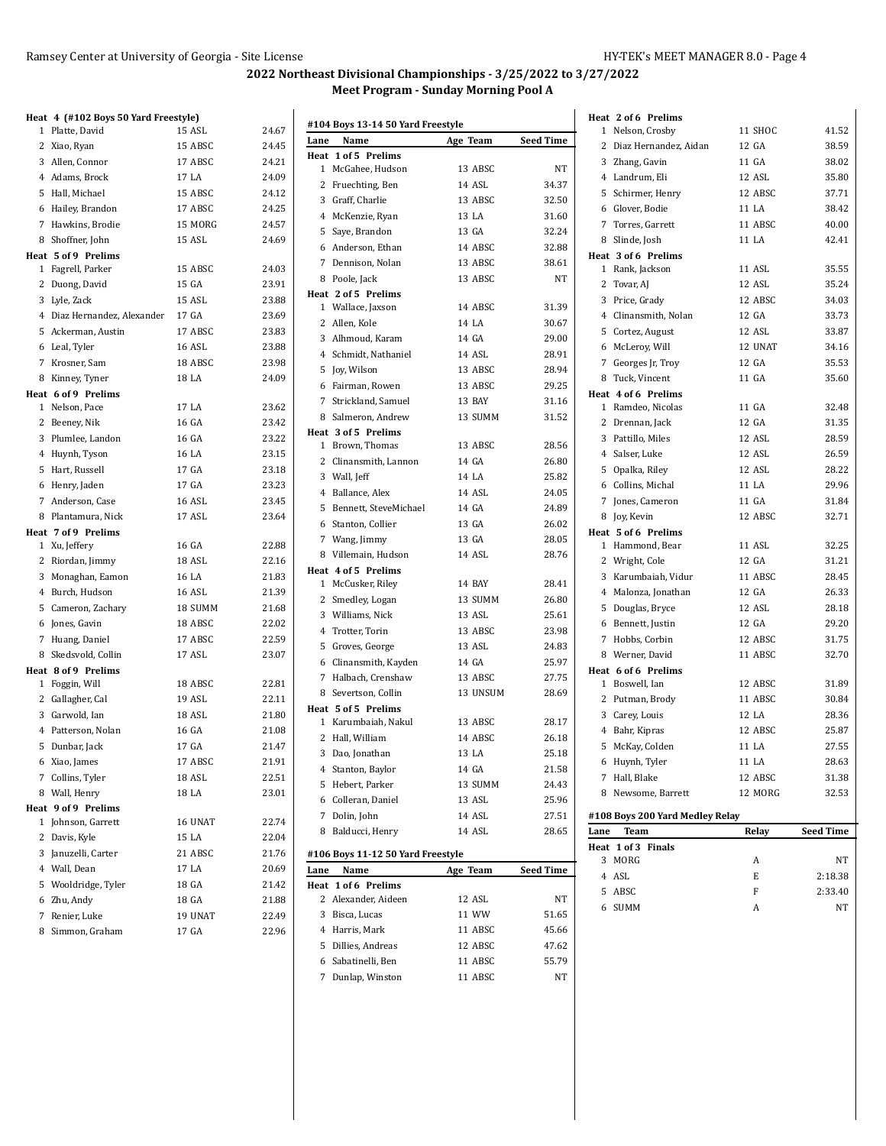# **Heat 4 (#102 Boys 50 Yard Freestyle)**

|   | 1 Platte, David                           | 15 ASL             | 24.67          |
|---|-------------------------------------------|--------------------|----------------|
|   | 2 Xiao, Ryan                              | 15 ABSC            | 24.45          |
|   | 3 Allen, Connor                           | 17 ABSC            | 24.21          |
|   | 4 Adams, Brock                            | 17 LA              | 24.09          |
|   | 5 Hall, Michael                           | 15 ABSC            | 24.12          |
|   | 6 Hailey, Brandon                         | 17 ABSC            | 24.25          |
|   | 7 Hawkins, Brodie                         | 15 MORG            | 24.57          |
|   | 8 Shoffner, John                          | 15 ASL             | 24.69          |
|   | Heat 5 of 9 Prelims                       |                    |                |
|   | 1 Fagrell, Parker                         | 15 ABSC            | 24.03          |
|   | 2 Duong, David                            | 15 GA              | 23.91          |
|   | 3 Lyle, Zack                              | 15 ASL             | 23.88          |
|   | 4 Diaz Hernandez, Alexander               | 17 GA              | 23.69          |
|   | 5 Ackerman, Austin                        | 17 ABSC            | 23.83          |
|   | 6 Leal, Tyler                             | 16 ASL             | 23.88          |
|   | 7 Krosner, Sam                            | 18 ABSC            | 23.98          |
|   | 8 Kinney, Tyner                           | 18 LA              | 24.09          |
|   | Heat 6 of 9 Prelims                       |                    |                |
|   | 1 Nelson, Pace                            | 17 LA              | 23.62          |
|   | 2 Beeney, Nik                             | 16 GA              | 23.42          |
|   | 3 Plumlee, Landon                         | 16 GA              | 23.22          |
|   | 4 Huynh, Tyson                            | 16 LA              | 23.15          |
|   | 5 Hart, Russell                           | 17 GA              | 23.18          |
|   | 6 Henry, Jaden                            | 17 GA              | 23.23          |
|   | 7 Anderson, Case                          | 16 ASL             | 23.45          |
|   | 8 Plantamura, Nick                        | 17 ASL             | 23.64          |
|   | Heat 7 of 9 Prelims                       |                    |                |
|   | 1 Xu, Jeffery                             | 16 GA              | 22.88          |
|   | 2 Riordan, Jimmy                          | 18 ASL             | 22.16          |
|   | 3 Monaghan, Eamon                         | 16 LA              | 21.83          |
|   | 4 Burch, Hudson                           | 16 ASL             | 21.39          |
|   | 5 Cameron, Zachary                        | 18 SUMM            | 21.68          |
|   | 6 Jones, Gavin                            | 18 ABSC            | 22.02          |
|   | 7 Huang, Daniel                           | 17 ABSC            | 22.59          |
|   | 8 Skedsvold, Collin                       | 17 ASL             | 23.07          |
|   | Heat 8 of 9 Prelims<br>1 Foggin, Will     | 18 ABSC            | 22.81          |
|   | 2 Gallagher, Cal                          | 19 ASL             | 22.11          |
|   | 3 Garwold, Ian                            | $18\ \mathrm{ASL}$ | 21.80          |
|   | 4 Patterson, Nolan                        | 16 GA              |                |
|   |                                           | 17 GA              | 21.08<br>21.47 |
|   | 5 Dunbar, Jack                            | 17 ABSC            | 21.91          |
|   | 6 Xiao, James                             |                    | 22.51          |
| 7 | Collins, Tyler                            | 18 ASL             | 23.01          |
|   | 8 Wall, Henry                             | 18 LA              |                |
|   | Heat 9 of 9 Prelims<br>1 Johnson, Garrett | 16 UNAT            | 22.74          |
| 2 | Davis, Kyle                               | 15 LA              | 22.04          |
|   | 3 Januzelli, Carter                       | 21 ABSC            | 21.76          |
|   | 4 Wall, Dean                              | 17 LA              | 20.69          |
| 5 | Wooldridge, Tyler                         | 18 GA              | 21.42          |
| 6 | Zhu, Andy                                 | 18 GA              | 21.88          |
| 7 | Renier, Luke                              | 19 UNAT            | 22.49          |
| 8 |                                           | 17 GA              | 22.96          |
|   | Simmon, Graham                            |                    |                |

| Lane | Name                                       | Age Team | <b>Seed Time</b> |
|------|--------------------------------------------|----------|------------------|
|      | Heat 1 of 5 Prelims                        |          |                  |
|      | 1 McGahee, Hudson                          | 13 ABSC  | NT               |
|      | 2 Fruechting, Ben                          | 14 ASL   | 34.37            |
|      | 3 Graff, Charlie                           | 13 ABSC  | 32.50            |
|      | 4 McKenzie, Ryan                           | 13 LA    | 31.60            |
|      | 5 Saye, Brandon                            | 13 GA    | 32.24            |
|      | 6 Anderson, Ethan                          | 14 ABSC  | 32.88            |
|      | 7 Dennison, Nolan                          | 13 ABSC  | 38.61            |
|      | 8 Poole, Jack                              | 13 ABSC  | <b>NT</b>        |
|      | Heat 2 of 5 Prelims                        |          |                  |
|      | 1 Wallace, Jaxson                          | 14 ABSC  | 31.39            |
|      | 2 Allen, Kole                              | 14 LA    | 30.67            |
|      | 3 Alhmoud, Karam                           | 14 GA    | 29.00            |
|      | 4 Schmidt, Nathaniel                       | 14 ASL   | 28.91            |
|      | 5 Joy, Wilson                              | 13 ABSC  | 28.94            |
|      | 6 Fairman, Rowen                           | 13 ABSC  | 29.25            |
|      | 7 Strickland, Samuel                       | 13 BAY   | 31.16            |
|      | 8 Salmeron, Andrew                         | 13 SUMM  | 31.52            |
|      | Heat 3 of 5 Prelims                        |          |                  |
|      | 1 Brown, Thomas                            | 13 ABSC  | 28.56            |
|      | 2 Clinansmith, Lannon                      | 14 GA    | 26.80            |
|      | 3 Wall, Jeff                               | 14 LA    | 25.82            |
|      | 4 Ballance, Alex                           | 14 ASL   | 24.05            |
|      | 5 Bennett, SteveMichael                    | 14 GA    | 24.89            |
|      |                                            | 13 GA    |                  |
|      | 6 Stanton, Collier                         |          | 26.02            |
|      | 7 Wang, Jimmy                              | 13 GA    | 28.05            |
|      | 8 Villemain, Hudson                        | 14 ASL   | 28.76            |
|      | Heat 4 of 5 Prelims                        |          |                  |
|      | 1 McCusker, Riley                          | 14 BAY   | 28.41            |
|      | 2 Smedley, Logan                           | 13 SUMM  | 26.80            |
|      | 3 Williams, Nick                           | 13 ASL   | 25.61            |
|      | 4 Trotter, Torin                           | 13 ABSC  | 23.98            |
|      | 5 Groves, George                           | 13 ASL   | 24.83            |
|      | 6 Clinansmith, Kayden                      | 14 GA    | 25.97            |
|      | 7 Halbach, Crenshaw                        | 13 ABSC  | 27.75            |
|      | 8 Severtson, Collin                        | 13 UNSUM | 28.69            |
|      | Heat 5 of 5 Prelims                        |          |                  |
|      | 1 Karumbaiah, Nakul                        | 13 ABSC  | 28.17            |
|      | 2 Hall, William                            | 14 ABSC  | 26.18            |
|      | 3 Dao, Jonathan                            | 13 LA    | 25.18            |
|      | 4 Stanton, Baylor                          | 14 GA    | 21.58            |
|      | 5 Hebert, Parker                           | 13 SUMM  | 24.43            |
|      | 6 Colleran, Daniel                         | 13 ASL   | 25.96            |
|      | 7 Dolin, John                              | 14 ASL   | 27.51            |
|      | 8 Balducci, Henry                          | 14 ASL   | 28.65            |
|      |                                            |          |                  |
|      | #106 Boys 11-12 50 Yard Freestyle          |          |                  |
| Lane | Name                                       | Age Team | <b>Seed Time</b> |
|      | Heat 1 of 6 Prelims<br>2 Alexander, Aideen | 12 ASL   | NΤ               |
|      | 3 Bisca, Lucas                             | 11 WW    |                  |
|      | 4 Harris, Mark                             |          | 51.65            |
|      |                                            | 11 ABSC  | 45.66            |
|      | 5 Dillies, Andreas                         | 12 ABSC  | 47.62            |
|      | 6 Sabatinelli, Ben<br>7 Dunlap, Winston    | 11 ABSC  | 55.79            |
|      |                                            | 11 ABSC  | NΤ               |

|      | Heat 2 of 6 Prelims                      |                 |                  |
|------|------------------------------------------|-----------------|------------------|
|      | 1 Nelson, Crosby                         | 11 SHOC         | 41.52            |
|      | 2 Diaz Hernandez, Aidan                  | 12 GA           | 38.59            |
|      | 3 Zhang, Gavin                           | 11 GA           | 38.02            |
|      | 4 Landrum, Eli                           | 12 ASL          | 35.80            |
|      | 5 Schirmer, Henry                        | 12 ABSC         | 37.71            |
|      | 6 Glover, Bodie                          | 11 LA           | 38.42            |
|      | 7 Torres, Garrett                        | 11 ABSC         | 40.00            |
|      |                                          | 11 LA           | 42.41            |
|      | 8 Slinde, Josh<br>Heat 3 of 6 Prelims    |                 |                  |
|      | 1 Rank, Jackson                          | 11 ASL          | 35.55            |
|      | 2 Tovar, AJ                              | 12 ASL          | 35.24            |
|      | 3 Price, Grady                           | 12 ABSC         | 34.03            |
|      | 4 Clinansmith, Nolan                     | 12 GA           | 33.73            |
|      |                                          | 12 ASL          | 33.87            |
|      | 5 Cortez, August                         | 12 UNAT         |                  |
|      | 6 McLeroy, Will                          |                 | 34.16            |
|      | 7 Georges Jr, Troy                       | 12 GA           | 35.53            |
|      | 8 Tuck, Vincent                          | 11 GA           | 35.60            |
|      | Heat 4 of 6 Prelims<br>1 Ramdeo, Nicolas | 11 GA           | 32.48            |
|      | 2 Drennan, Jack                          | 12 GA           | 31.35            |
|      | 3 Pattillo, Miles                        | 12 ASL          | 28.59            |
|      | 4 Salser, Luke                           | 12 ASL          | 26.59            |
|      | 5 Opalka, Riley                          | 12 ASL          | 28.22            |
|      | 6 Collins. Michal                        | 11 LA           | 29.96            |
|      | 7 Jones, Cameron                         | $11 \text{ GA}$ |                  |
|      |                                          |                 | 31.84            |
|      | 8 Joy, Kevin                             | 12 ABSC         | 32.71            |
|      | Heat 5 of 6 Prelims<br>1 Hammond, Bear   | 11 ASL          | 32.25            |
|      | 2 Wright, Cole                           | 12 GA           | 31.21            |
|      |                                          |                 |                  |
|      |                                          |                 |                  |
|      | 3 Karumbaiah, Vidur                      | 11 ABSC         | 28.45            |
|      | 4 Malonza, Jonathan                      | 12 GA           | 26.33            |
|      | 5 Douglas, Bryce                         | 12 ASL          | 28.18            |
|      | 6 Bennett, Justin                        | 12 GA           | 29.20            |
|      | 7 Hobbs, Corbin                          | 12 ABSC         | 31.75            |
|      | 8 Werner, David                          | 11 ABSC         | 32.70            |
|      | Heat 6 of 6 Prelims                      |                 |                  |
|      | 1 Boswell, Ian                           | 12 ABSC         | 31.89            |
|      | 2 Putman, Brody                          | 11 ABSC         | 30.84            |
|      | 3 Carey, Louis                           | 12 LA           | 28.36            |
|      | 4 Bahr, Kipras                           | 12 ABSC         | 25.87            |
|      | 5 McKay, Colden                          | 11 LA           | 27.55            |
|      | 6 Huynh, Tyler                           | 11 LA           | 28.63            |
| 7    | Hall, Blake                              | 12 ABSC         | 31.38            |
|      | 8 Newsome, Barrett                       | 12 MORG         | 32.53            |
|      | #108 Boys 200 Yard Medley Relay          |                 |                  |
| Lane | <b>Team</b>                              | Relay           | <b>Seed Time</b> |
|      | Heat 1 of 3 Finals                       |                 |                  |
|      | 3 MORG                                   | Α               | NΤ               |
|      | 4 ASL                                    | E               | 2:18.38          |
|      | 5 ABSC                                   | F               | 2:33.40          |
|      | 6 SUMM                                   | A               | NΤ               |
|      |                                          |                 |                  |